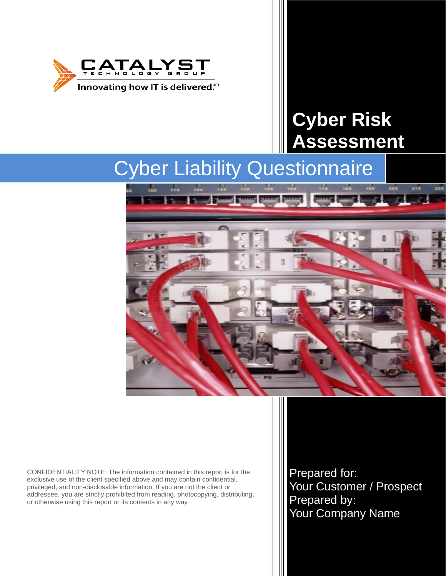

# **Cyber Risk Assessment**

# Cyber Liability Questionnaire



CONFIDENTIALITY NOTE: The information contained in this report is for the exclusive use of the client specified above and may contain confidential, privileged, and non-disclosable information. If you are not the client or addressee, you are strictly prohibited from reading, photocopying, distributing, or otherwise using this report or its contents in any way.

Prepared for: Your Customer / Prospect Prepared by: Your Company Name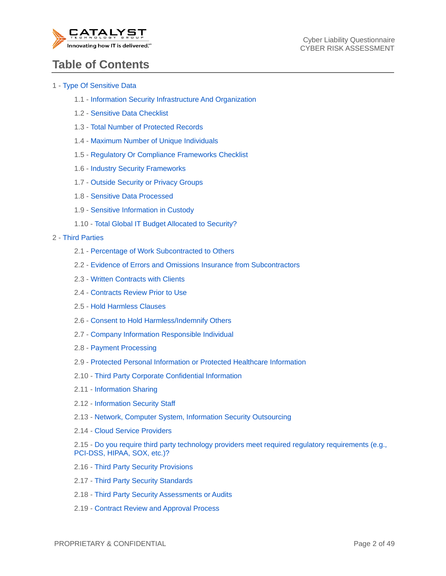

## **Table of Contents**

#### 1 - Type Of Sensitive Data

- 1.1 Information Security Infrastructure And Organization
- 1.2 Sensitive Data Checklist
- 1.3 Total Number of Protected Records
- 1.4 Maximum Number of Unique Individuals
- 1.5 Regulatory Or Compliance Frameworks Checklist
- 1.6 Industry Security Frameworks
- 1.7 Outside Security or Privacy Groups
- 1.8 Sensitive Data Processed
- 1.9 Sensitive Information in Custody
- 1.10 Total Global IT Budget Allocated to Security?

#### 2 - Third Parties

- 2.1 Percentage of Work Subcontracted to Others
- 2.2 Evidence of Errors and Omissions Insurance from Subcontractors
- 2.3 Written Contracts with Clients
- 2.4 Contracts Review Prior to Use
- 2.5 Hold Harmless Clauses
- 2.6 Consent to Hold Harmless/Indemnify Others
- 2.7 Company Information Responsible Individual
- 2.8 Payment Processing
- 2.9 Protected Personal Information or Protected Healthcare Information
- 2.10 Third Party Corporate Confidential Information
- 2.11 Information Sharing
- 2.12 Information Security Staff
- 2.13 Network, Computer System, Information Security Outsourcing
- 2.14 Cloud Service Providers
- 2.15 Do you require third party technology providers meet required regulatory requirements (e.g., PCI-DSS, HIPAA, SOX, etc.)?
- 2.16 Third Party Security Provisions
- 2.17 Third Party Security Standards
- 2.18 Third Party Security Assessments or Audits
- 2.19 Contract Review and Approval Process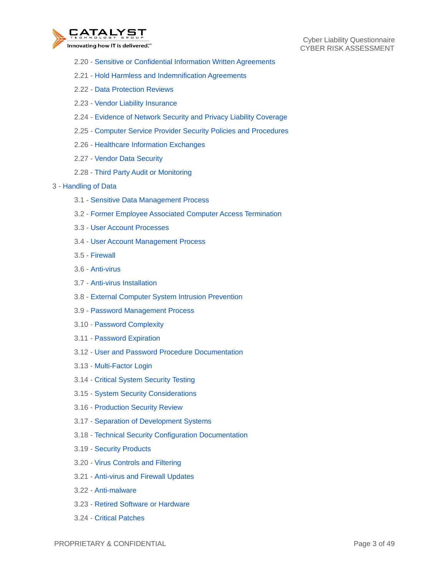

Cyber Liability Questionnaire CYBER RISK ASSESSMENT

- 2.20 Sensitive or Confidential Information Written Agreements
- 2.21 Hold Harmless and Indemnification Agreements
- 2.22 Data Protection Reviews
- 2.23 Vendor Liability Insurance
- 2.24 Evidence of Network Security and Privacy Liability Coverage
- 2.25 Computer Service Provider Security Policies and Procedures
- 2.26 Healthcare Information Exchanges
- 2.27 Vendor Data Security
- 2.28 Third Party Audit or Monitoring

#### 3 - Handling of Data

- 3.1 Sensitive Data Management Process
- 3.2 Former Employee Associated Computer Access Termination
- 3.3 User Account Processes
- 3.4 User Account Management Process
- 3.5 Firewall
- 3.6 Anti-virus
- 3.7 Anti-virus Installation
- 3.8 External Computer System Intrusion Prevention
- 3.9 Password Management Process
- 3.10 Password Complexity
- 3.11 Password Expiration
- 3.12 User and Password Procedure Documentation
- 3.13 Multi-Factor Login
- 3.14 Critical System Security Testing
- 3.15 System Security Considerations
- 3.16 Production Security Review
- 3.17 Separation of Development Systems
- 3.18 Technical Security Configuration Documentation
- 3.19 Security Products
- 3.20 Virus Controls and Filtering
- 3.21 Anti-virus and Firewall Updates
- 3.22 Anti-malware
- 3.23 Retired Software or Hardware
- 3.24 Critical Patches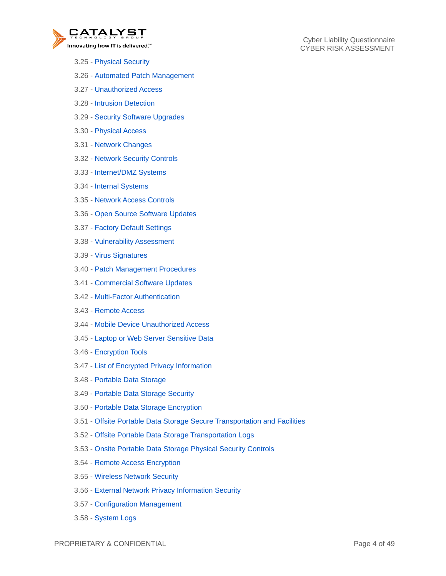

- 3.25 Physical Security
- 3.26 Automated Patch Management
- 3.27 Unauthorized Access
- 3.28 Intrusion Detection
- 3.29 Security Software Upgrades
- 3.30 Physical Access
- 3.31 Network Changes
- 3.32 Network Security Controls
- 3.33 Internet/DMZ Systems
- 3.34 Internal Systems
- 3.35 Network Access Controls
- 3.36 Open Source Software Updates
- 3.37 Factory Default Settings
- 3.38 Vulnerability Assessment
- 3.39 Virus Signatures
- 3.40 Patch Management Procedures
- 3.41 Commercial Software Updates
- 3.42 Multi-Factor Authentication
- 3.43 Remote Access
- 3.44 Mobile Device Unauthorized Access
- 3.45 Laptop or Web Server Sensitive Data
- 3.46 Encryption Tools
- 3.47 List of Encrypted Privacy Information
- 3.48 Portable Data Storage
- 3.49 Portable Data Storage Security
- 3.50 Portable Data Storage Encryption
- 3.51 Offsite Portable Data Storage Secure Transportation and Facilities
- 3.52 Offsite Portable Data Storage Transportation Logs
- 3.53 Onsite Portable Data Storage Physical Security Controls
- 3.54 Remote Access Encryption
- 3.55 Wireless Network Security
- 3.56 External Network Privacy Information Security
- 3.57 Configuration Management
- 3.58 System Logs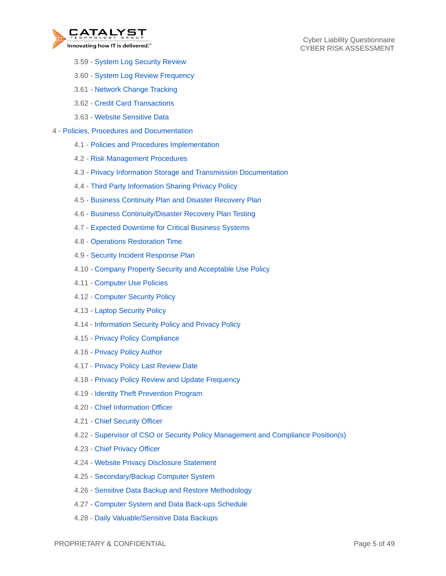

- 3.59 System Log Security Review
- 3.60 System Log Review Frequency
- 3.61 Network Change Tracking
- 3.62 Credit Card Transactions
- 3.63 Website Sensitive Data
- 4 Policies, Procedures and Documentation
	- 4.1 Policies and Procedures Implementation
	- 4.2 Risk Management Procedures
	- 4.3 Privacy Information Storage and Transmission Documentation
	- 4.4 Third Party Information Sharing Privacy Policy
	- 4.5 Business Continuity Plan and Disaster Recovery Plan
	- 4.6 Business Continuity/Disaster Recovery Plan Testing
	- 4.7 Expected Downtime for Critical Business Systems
	- 4.8 Operations Restoration Time
	- 4.9 Security Incident Response Plan
	- 4.10 Company Property Security and Acceptable Use Policy
	- 4.11 Computer Use Policies
	- 4.12 Computer Security Policy
	- 4.13 Laptop Security Policy
	- 4.14 Information Security Policy and Privacy Policy
	- 4.15 Privacy Policy Compliance
	- 4.16 Privacy Policy Author
	- 4.17 Privacy Policy Last Review Date
	- 4.18 Privacy Policy Review and Update Frequency
	- 4.19 Identity Theft Prevention Program
	- 4.20 Chief Information Officer
	- 4.21 Chief Security Officer
	- 4.22 Supervisor of CSO or Security Policy Management and Compliance Position(s)
	- 4.23 Chief Privacy Officer
	- 4.24 Website Privacy Disclosure Statement
	- 4.25 Secondary/Backup Computer System
	- 4.26 Sensitive Data Backup and Restore Methodology
	- 4.27 Computer System and Data Back-ups Schedule
	- 4.28 Daily Valuable/Sensitive Data Backups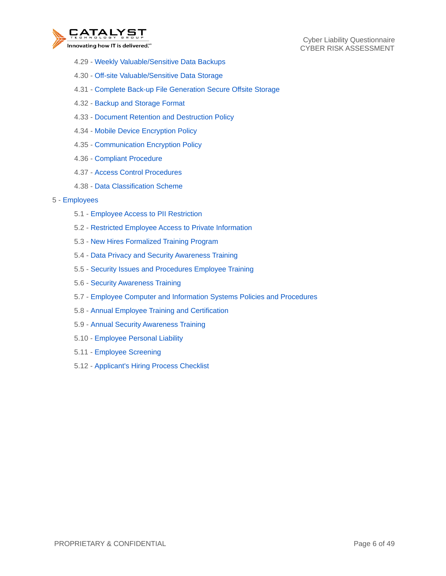

Cyber Liability Questionnaire CYBER RISK ASSESSMENT

- 4.29 Weekly Valuable/Sensitive Data Backups
- 4.30 Off-site Valuable/Sensitive Data Storage
- 4.31 Complete Back-up File Generation Secure Offsite Storage
- 4.32 Backup and Storage Format
- 4.33 Document Retention and Destruction Policy
- 4.34 Mobile Device Encryption Policy
- 4.35 Communication Encryption Policy
- 4.36 Compliant Procedure
- 4.37 Access Control Procedures
- 4.38 Data Classification Scheme
- 5 Employees
	- 5.1 Employee Access to PII Restriction
	- 5.2 Restricted Employee Access to Private Information
	- 5.3 New Hires Formalized Training Program
	- 5.4 Data Privacy and Security Awareness Training
	- 5.5 Security Issues and Procedures Employee Training
	- 5.6 Security Awareness Training
	- 5.7 Employee Computer and Information Systems Policies and Procedures
	- 5.8 Annual Employee Training and Certification
	- 5.9 Annual Security Awareness Training
	- 5.10 Employee Personal Liability
	- 5.11 Employee Screening
	- 5.12 Applicant's Hiring Process Checklist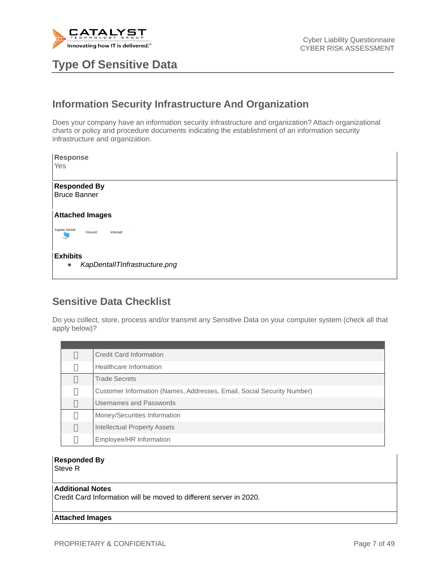

**Type Of Sensitive Data** 

## **Information Security Infrastructure And Organization**

Does your company have an information security infrastructure and organization? Attach organizational charts or policy and procedure documents indicating the establishment of an information security infrastructure and organization.

| Response<br>Yes                                               |  |  |  |
|---------------------------------------------------------------|--|--|--|
| <b>Responded By</b><br><b>Bruce Banner</b>                    |  |  |  |
| <b>Attached Images</b>                                        |  |  |  |
| <b>Kaplan Dental</b><br>Firewall<br>Internet                  |  |  |  |
| <b>Exhibits</b><br>KapDentallTInfrastructure.png<br>$\bullet$ |  |  |  |

### **Sensitive Data Checklist**

Do you collect, store, process and/or transmit any Sensitive Data on your computer system (check all that apply below)?

| Credit Card Information                                                |
|------------------------------------------------------------------------|
| Healthcare Information                                                 |
| <b>Trade Secrets</b>                                                   |
| Customer Information (Names, Addresses, Email, Social Security Number) |
| Usernames and Passwords                                                |
| Money/Securities Information                                           |
| Intellectual Property Assets                                           |
| Employee/HR Information                                                |

### **Responded By**

Steve R

#### **Additional Notes**

Credit Card Information will be moved to different server in 2020.

#### **Attached Images**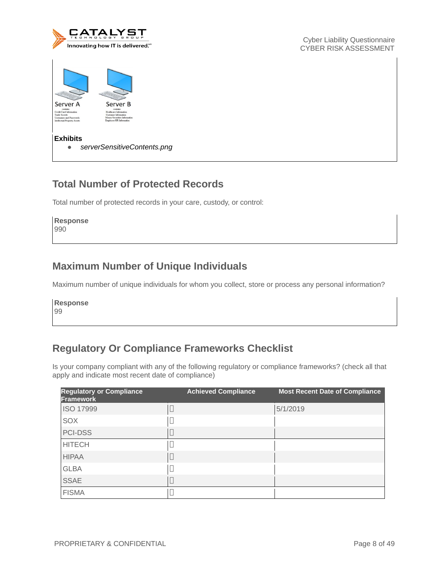

Cyber Liability Questionnaire CYBER RISK ASSESSMENT

| Server A<br>contains<br>Credit Card Information<br><b>Trade Secrets</b><br><b>Lisemannes and Passwords</b><br>Intellectual Property Assets | Server B<br>contains<br>Healthcare Information<br>Customer Information<br>Money/Securities Information<br>Employee/HR Information |
|--------------------------------------------------------------------------------------------------------------------------------------------|-----------------------------------------------------------------------------------------------------------------------------------|
| <b>Exhibits</b>                                                                                                                            | serverSensitiveContents.png                                                                                                       |

### **Total Number of Protected Records**

Total number of protected records in your care, custody, or control:

**Response** 990

#### **Maximum Number of Unique Individuals**

Maximum number of unique individuals for whom you collect, store or process any personal information?

**Response** 99

### **Regulatory Or Compliance Frameworks Checklist**

Is your company compliant with any of the following regulatory or compliance frameworks? (check all that apply and indicate most recent date of compliance)

| <b>Regulatory or Compliance</b><br>Framework | <b>Achieved Compliance</b> | <b>Most Recent Date of Compliance</b> |
|----------------------------------------------|----------------------------|---------------------------------------|
| <b>ISO 17999</b>                             |                            | 5/1/2019                              |
| SOX                                          |                            |                                       |
| <b>PCI-DSS</b>                               |                            |                                       |
| <b>HITECH</b>                                |                            |                                       |
| <b>HIPAA</b>                                 |                            |                                       |
| <b>GLBA</b>                                  |                            |                                       |
| <b>SSAE</b>                                  |                            |                                       |
| <b>FISMA</b>                                 |                            |                                       |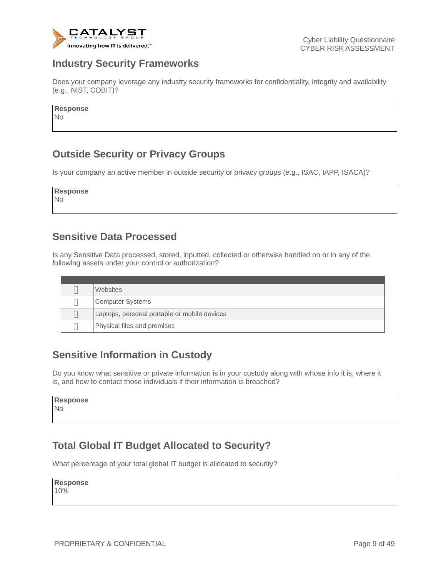

#### **Industry Security Frameworks**

Does your company leverage any industry security frameworks for confidentiality, integrity and availability (e.g., NIST, COBIT)?

**Response** No

## **Outside Security or Privacy Groups**

Is your company an active member in outside security or privacy groups (e.g., ISAC, IAPP, ISACA)?

**Response** No

#### **Sensitive Data Processed**

Is any Sensitive Data processed, stored, inputted, collected or otherwise handled on or in any of the following assets under your control or authorization?

| Websites                                     |
|----------------------------------------------|
| <b>Computer Systems</b>                      |
| Laptops, personal portable or mobile devices |
| Physical files and premises                  |

### **Sensitive Information in Custody**

Do you know what sensitive or private information is in your custody along with whose info it is, where it is, and how to contact those individuals if their information is breached?

| <b>Response</b> |  |
|-----------------|--|
| Nο              |  |

### **Total Global IT Budget Allocated to Security?**

What percentage of your total global IT budget is allocated to security?

**Response**

10%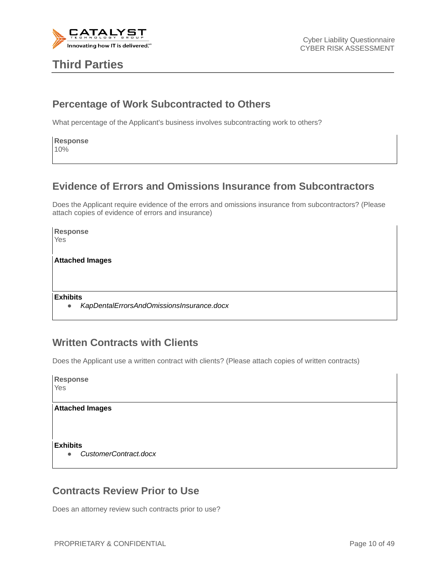

## **Third Parties**

#### **Percentage of Work Subcontracted to Others**

What percentage of the Applicant's business involves subcontracting work to others?

**Response** 10%

#### **Evidence of Errors and Omissions Insurance from Subcontractors**

Does the Applicant require evidence of the errors and omissions insurance from subcontractors? (Please attach copies of evidence of errors and insurance)

**Response** Yes

**Attached Images**

**Exhibits**

● *KapDentalErrorsAndOmissionsInsurance.docx*

#### **Written Contracts with Clients**

Does the Applicant use a written contract with clients? (Please attach copies of written contracts)

| <b>Response</b><br>Yes |                        |  |
|------------------------|------------------------|--|
|                        | <b>Attached Images</b> |  |
|                        |                        |  |
|                        |                        |  |
| <b>Exhibits</b>        |                        |  |
|                        |                        |  |
| $\bullet$              | CustomerContract.docx  |  |

#### **Contracts Review Prior to Use**

Does an attorney review such contracts prior to use?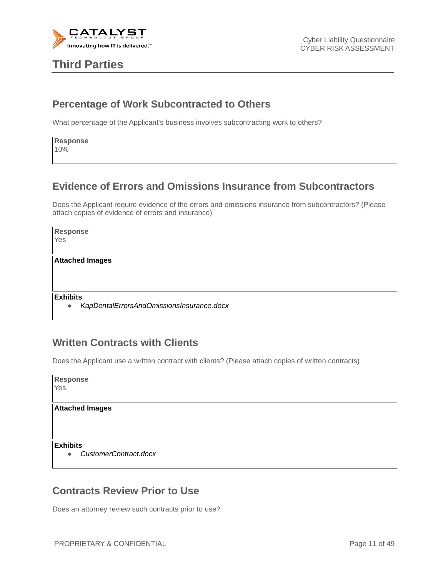

## **Third Parties**

#### **Percentage of Work Subcontracted to Others**

What percentage of the Applicant's business involves subcontracting work to others?

**Response** 10%

#### **Evidence of Errors and Omissions Insurance from Subcontractors**

Does the Applicant require evidence of the errors and omissions insurance from subcontractors? (Please attach copies of evidence of errors and insurance)

**Response** Yes

**Attached Images**

**Exhibits**

● *KapDentalErrorsAndOmissionsInsurance.docx*

#### **Written Contracts with Clients**

Does the Applicant use a written contract with clients? (Please attach copies of written contracts)

| <b>Response</b><br>Yes |                        |  |  |
|------------------------|------------------------|--|--|
|                        | <b>Attached Images</b> |  |  |
|                        |                        |  |  |
|                        |                        |  |  |
| <b>Exhibits</b>        |                        |  |  |
|                        |                        |  |  |
| $\bullet$              | CustomerContract.docx  |  |  |

#### **Contracts Review Prior to Use**

Does an attorney review such contracts prior to use?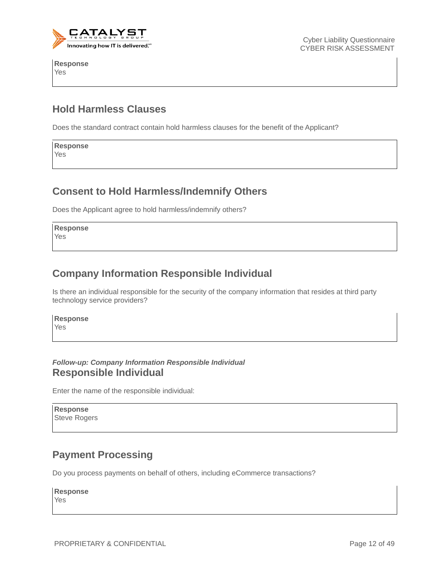

**Response** Yes

Cyber Liability Questionnaire CYBER RISK ASSESSMENT

### **Hold Harmless Clauses**

Does the standard contract contain hold harmless clauses for the benefit of the Applicant?

**Response** Yes

#### **Consent to Hold Harmless/Indemnify Others**

Does the Applicant agree to hold harmless/indemnify others?

**Response** Yes

#### **Company Information Responsible Individual**

Is there an individual responsible for the security of the company information that resides at third party technology service providers?

**Response** Yes

#### *Follow-up: Company Information Responsible Individual* **Responsible Individual**

Enter the name of the responsible individual:

| <b>Response</b> |                     |  |
|-----------------|---------------------|--|
|                 | <b>Steve Rogers</b> |  |

#### **Payment Processing**

Do you process payments on behalf of others, including eCommerce transactions?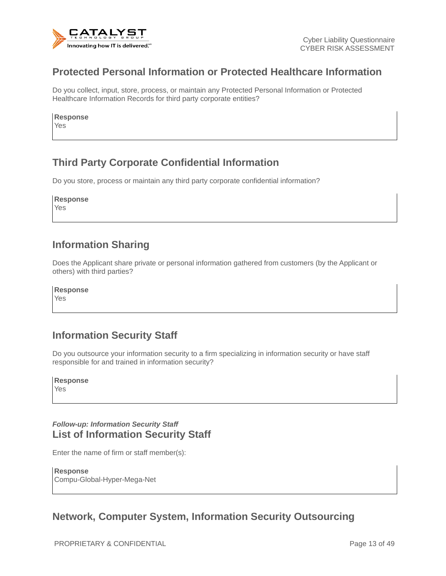

#### **Protected Personal Information or Protected Healthcare Information**

Do you collect, input, store, process, or maintain any Protected Personal Information or Protected Healthcare Information Records for third party corporate entities?

**Response**

Yes

### **Third Party Corporate Confidential Information**

Do you store, process or maintain any third party corporate confidential information?

| <b>Response</b> |  |
|-----------------|--|
| Yes             |  |

#### **Information Sharing**

Does the Applicant share private or personal information gathered from customers (by the Applicant or others) with third parties?

**Response**

Yes

### **Information Security Staff**

Do you outsource your information security to a firm specializing in information security or have staff responsible for and trained in information security?

**Response** Yes

#### *Follow-up: Information Security Staff* **List of Information Security Staff**

Enter the name of firm or staff member(s):

**Response** Compu-Global-Hyper-Mega-Net

### **Network, Computer System, Information Security Outsourcing**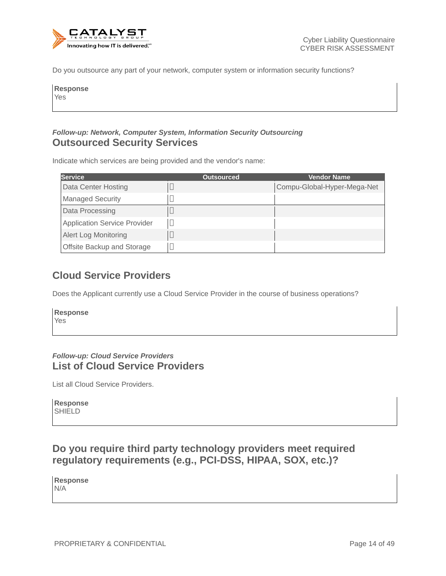

Do you outsource any part of your network, computer system or information security functions?

| <b>Response</b><br>Yes |  |  |
|------------------------|--|--|
|                        |  |  |

#### *Follow-up: Network, Computer System, Information Security Outsourcing* **Outsourced Security Services**

Indicate which services are being provided and the vendor's name:

| <b>Service</b>                      | <b>Outsourced</b> | <b>Vendor Name</b>          |
|-------------------------------------|-------------------|-----------------------------|
| Data Center Hosting                 |                   | Compu-Global-Hyper-Mega-Net |
| <b>Managed Security</b>             |                   |                             |
| Data Processing                     |                   |                             |
| <b>Application Service Provider</b> |                   |                             |
| <b>Alert Log Monitoring</b>         |                   |                             |
| Offsite Backup and Storage          |                   |                             |

#### **Cloud Service Providers**

Does the Applicant currently use a Cloud Service Provider in the course of business operations?

| Response   |  |  |  |
|------------|--|--|--|
| <b>Yes</b> |  |  |  |

#### *Follow-up: Cloud Service Providers* **List of Cloud Service Providers**

List all Cloud Service Providers.

**Response** SHIELD

#### **Do you require third party technology providers meet required regulatory requirements (e.g., PCI-DSS, HIPAA, SOX, etc.)?**

**Response** N/A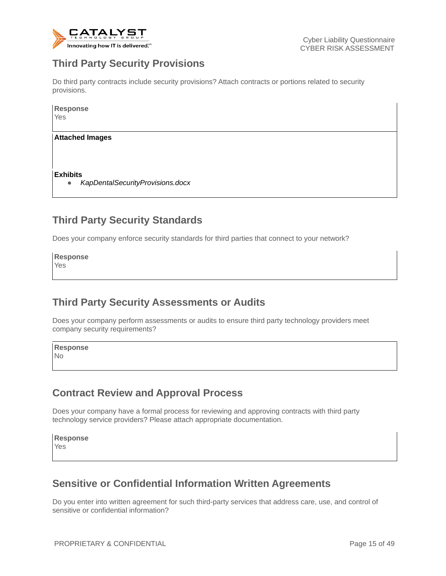

### **Third Party Security Provisions**

Do third party contracts include security provisions? Attach contracts or portions related to security provisions.

| <b>Response</b><br>Yes                                           |  |
|------------------------------------------------------------------|--|
| <b>Attached Images</b>                                           |  |
| <b>Exhibits</b><br>KapDentalSecurityProvisions.docx<br>$\bullet$ |  |

### **Third Party Security Standards**

Does your company enforce security standards for third parties that connect to your network?

**Response** Yes

### **Third Party Security Assessments or Audits**

Does your company perform assessments or audits to ensure third party technology providers meet company security requirements?

**Response** No

### **Contract Review and Approval Process**

Does your company have a formal process for reviewing and approving contracts with third party technology service providers? Please attach appropriate documentation.

**Response** Yes

### **Sensitive or Confidential Information Written Agreements**

Do you enter into written agreement for such third-party services that address care, use, and control of sensitive or confidential information?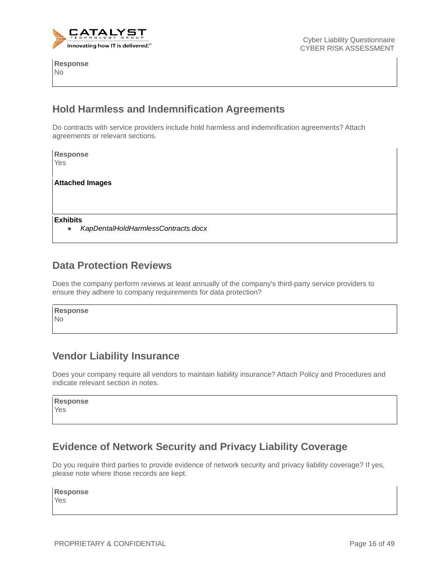

**Response** No

#### **Hold Harmless and Indemnification Agreements**

Do contracts with service providers include hold harmless and indemnification agreements? Attach agreements or relevant sections.

| <b>Response</b> |                                     |
|-----------------|-------------------------------------|
| Yes             |                                     |
|                 |                                     |
|                 | <b>Attached Images</b>              |
|                 |                                     |
|                 |                                     |
|                 |                                     |
| <b>Exhibits</b> |                                     |
|                 | KapDentalHoldHarmlessContracts.docx |

#### **Data Protection Reviews**

Does the company perform reviews at least annually of the company's third-party service providers to ensure they adhere to company requirements for data protection?

**Response** No

### **Vendor Liability Insurance**

Does your company require all vendors to maintain liability insurance? Attach Policy and Procedures and indicate relevant section in notes.

| <b>Response</b> |  |
|-----------------|--|

Yes

### **Evidence of Network Security and Privacy Liability Coverage**

Do you require third parties to provide evidence of network security and privacy liability coverage? If yes, please note where those records are kept.

**Response**

Yes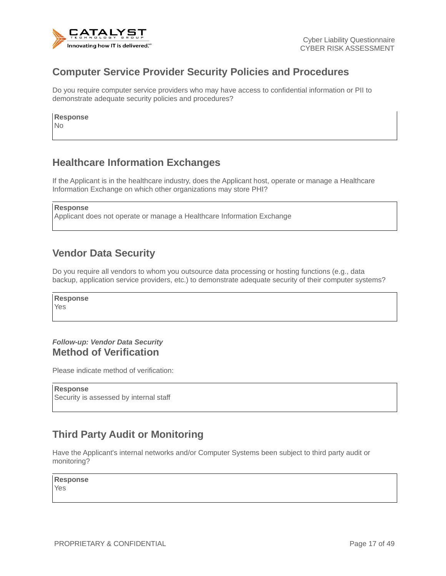

#### **Computer Service Provider Security Policies and Procedures**

Do you require computer service providers who may have access to confidential information or PII to demonstrate adequate security policies and procedures?

**Response**

No

### **Healthcare Information Exchanges**

If the Applicant is in the healthcare industry, does the Applicant host, operate or manage a Healthcare Information Exchange on which other organizations may store PHI?

```
Response
```
Applicant does not operate or manage a Healthcare Information Exchange

#### **Vendor Data Security**

Do you require all vendors to whom you outsource data processing or hosting functions (e.g., data backup, application service providers, etc.) to demonstrate adequate security of their computer systems?

**Response** Yes

#### *Follow-up: Vendor Data Security* **Method of Verification**

Please indicate method of verification:

**Response** Security is assessed by internal staff

### **Third Party Audit or Monitoring**

Have the Applicant's internal networks and/or Computer Systems been subject to third party audit or monitoring?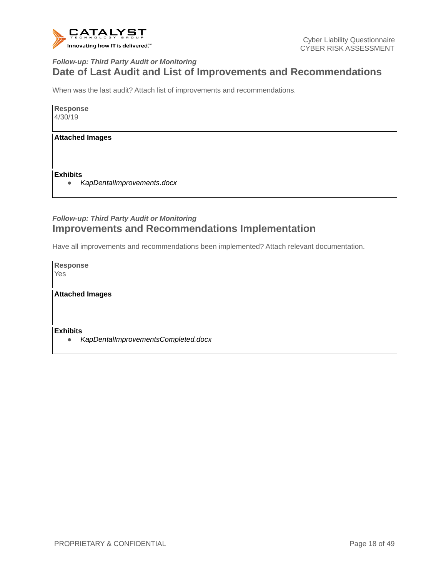

#### *Follow-up: Third Party Audit or Monitoring* **Date of Last Audit and List of Improvements and Recommendations**

When was the last audit? Attach list of improvements and recommendations.

**Response** 4/30/19

**Attached Images**

**Exhibits**

● *KapDentalImprovements.docx*

#### *Follow-up: Third Party Audit or Monitoring* **Improvements and Recommendations Implementation**

Have all improvements and recommendations been implemented? Attach relevant documentation.

**Response** Yes

**Attached Images**

**Exhibits**

● *KapDentalImprovementsCompleted.docx*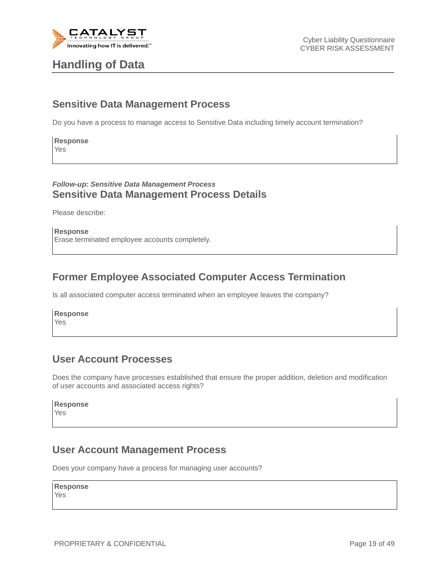

## **Handling of Data**

#### **Sensitive Data Management Process**

Do you have a process to manage access to Sensitive Data including timely account termination?

**Response** Yes

#### *Follow-up: Sensitive Data Management Process* **Sensitive Data Management Process Details**

Please describe:

**Response** Erase terminated employee accounts completely.

#### **Former Employee Associated Computer Access Termination**

Is all associated computer access terminated when an employee leaves the company?

**Response** Yes

#### **User Account Processes**

Does the company have processes established that ensure the proper addition, deletion and modification of user accounts and associated access rights?

#### **Response**

Yes

#### **User Account Management Process**

Does your company have a process for managing user accounts?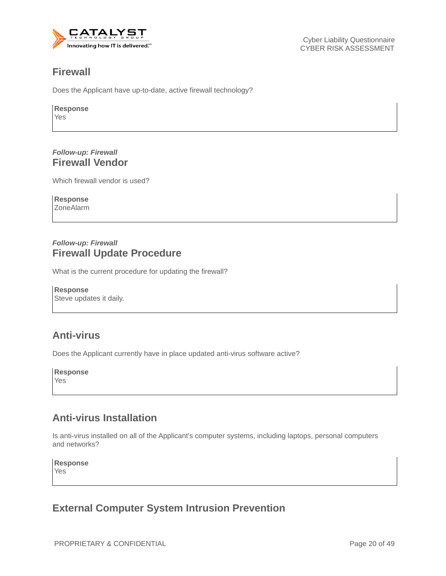

#### **Firewall**

Does the Applicant have up-to-date, active firewall technology?

**Response** Yes

#### *Follow-up: Firewall* **Firewall Vendor**

Which firewall vendor is used?

**Response** ZoneAlarm

#### *Follow-up: Firewall* **Firewall Update Procedure**

What is the current procedure for updating the firewall?

**Response** Steve updates it daily.

### **Anti-virus**

Does the Applicant currently have in place updated anti-virus software active?

**Response** Yes

### **Anti-virus Installation**

Is anti-virus installed on all of the Applicant's computer systems, including laptops, personal computers and networks?

**Response** Yes

#### **External Computer System Intrusion Prevention**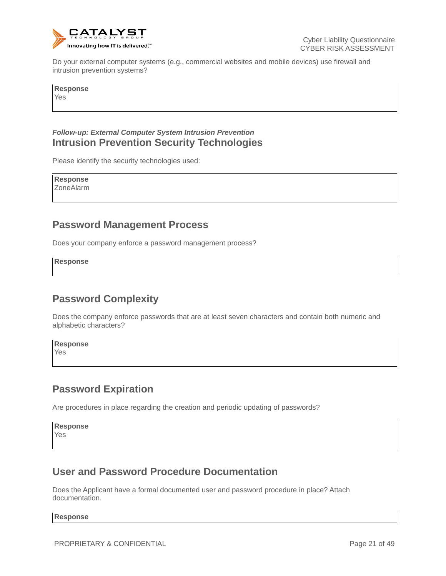

Do your external computer systems (e.g., commercial websites and mobile devices) use firewall and intrusion prevention systems?

**Response** Yes

#### *Follow-up: External Computer System Intrusion Prevention* **Intrusion Prevention Security Technologies**

Please identify the security technologies used:

**Response** ZoneAlarm

#### **Password Management Process**

Does your company enforce a password management process?

**Response**

### **Password Complexity**

Does the company enforce passwords that are at least seven characters and contain both numeric and alphabetic characters?

**Response** Yes

#### **Password Expiration**

Are procedures in place regarding the creation and periodic updating of passwords?

**Response** Yes

### **User and Password Procedure Documentation**

Does the Applicant have a formal documented user and password procedure in place? Attach documentation.

**Response**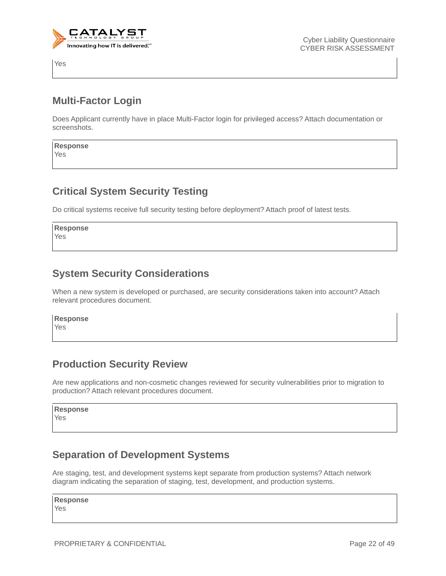

Yes

#### **Multi-Factor Login**

Does Applicant currently have in place Multi-Factor login for privileged access? Attach documentation or screenshots.

**Response** Yes

#### **Critical System Security Testing**

Do critical systems receive full security testing before deployment? Attach proof of latest tests.

**Response** Yes

#### **System Security Considerations**

When a new system is developed or purchased, are security considerations taken into account? Attach relevant procedures document.

**Response**

Yes

#### **Production Security Review**

Are new applications and non-cosmetic changes reviewed for security vulnerabilities prior to migration to production? Attach relevant procedures document.

**Response** Yes

### **Separation of Development Systems**

Are staging, test, and development systems kept separate from production systems? Attach network diagram indicating the separation of staging, test, development, and production systems.

#### **Response**

Yes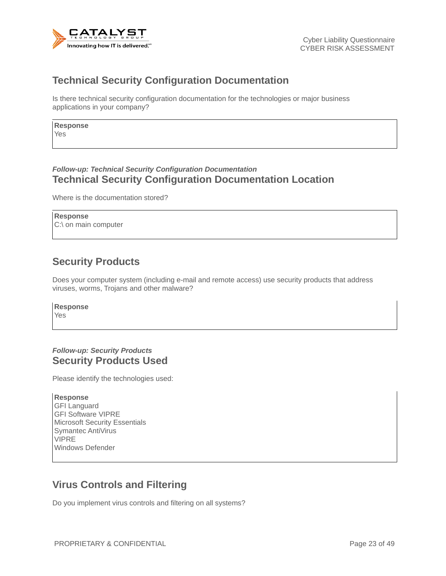

#### **Technical Security Configuration Documentation**

Is there technical security configuration documentation for the technologies or major business applications in your company?

**Response** Yes

#### *Follow-up: Technical Security Configuration Documentation* **Technical Security Configuration Documentation Location**

Where is the documentation stored?

**Response** C:\ on main computer

### **Security Products**

Does your computer system (including e-mail and remote access) use security products that address viruses, worms, Trojans and other malware?

**Response** Yes

#### *Follow-up: Security Products* **Security Products Used**

Please identify the technologies used:

**Response** GFI Languard GFI Software VIPRE Microsoft Security Essentials Symantec AntiVirus VIPRE Windows Defender

#### **Virus Controls and Filtering**

Do you implement virus controls and filtering on all systems?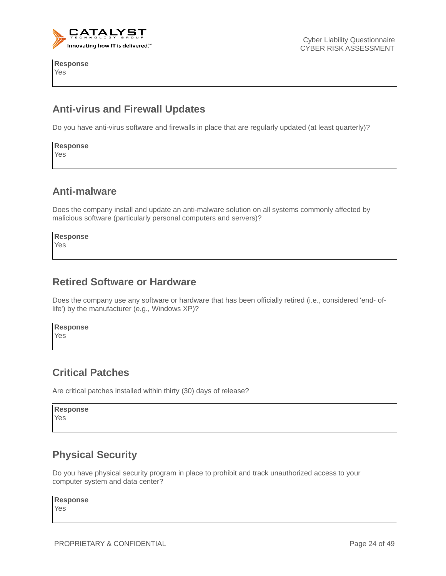

**Response** Yes

### **Anti-virus and Firewall Updates**

Do you have anti-virus software and firewalls in place that are regularly updated (at least quarterly)?

**Response** Yes

#### **Anti-malware**

Does the company install and update an anti-malware solution on all systems commonly affected by malicious software (particularly personal computers and servers)?

**Response** Yes

#### **Retired Software or Hardware**

Does the company use any software or hardware that has been officially retired (i.e., considered 'end- oflife') by the manufacturer (e.g., Windows XP)?

**Response**

Yes

### **Critical Patches**

Are critical patches installed within thirty (30) days of release?

**Response** Yes

### **Physical Security**

Do you have physical security program in place to prohibit and track unauthorized access to your computer system and data center?

#### **Response**

Yes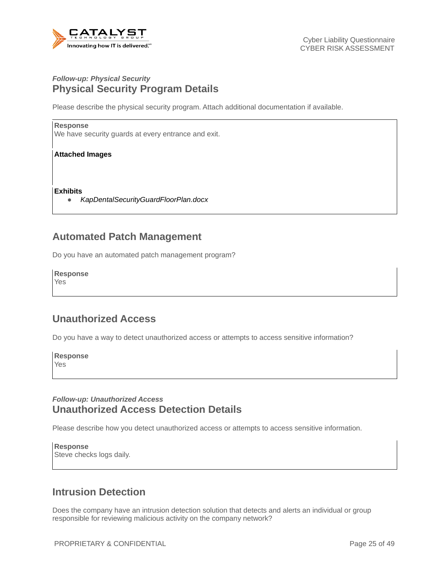

#### *Follow-up: Physical Security* **Physical Security Program Details**

Please describe the physical security program. Attach additional documentation if available.

#### **Response**

We have security guards at every entrance and exit.

#### **Attached Images**

**Exhibits**

● *KapDentalSecurityGuardFloorPlan.docx*

#### **Automated Patch Management**

Do you have an automated patch management program?

#### **Response**

Yes

#### **Unauthorized Access**

Do you have a way to detect unauthorized access or attempts to access sensitive information?

**Response** Yes

#### *Follow-up: Unauthorized Access* **Unauthorized Access Detection Details**

Please describe how you detect unauthorized access or attempts to access sensitive information.

**Response** Steve checks logs daily.

#### **Intrusion Detection**

Does the company have an intrusion detection solution that detects and alerts an individual or group responsible for reviewing malicious activity on the company network?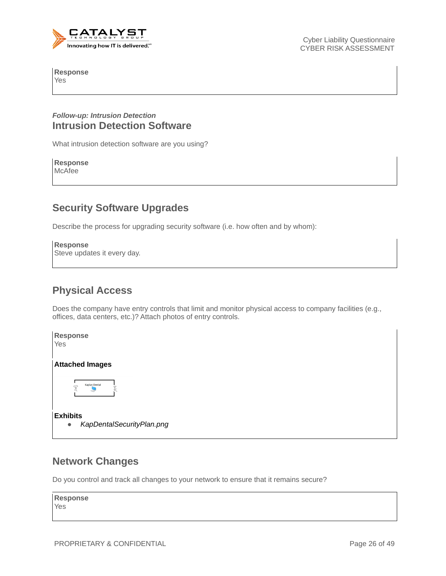

**Response** Yes

#### *Follow-up: Intrusion Detection* **Intrusion Detection Software**

What intrusion detection software are you using?

#### **Response** McAfee

#### **Security Software Upgrades**

Describe the process for upgrading security software (i.e. how often and by whom):

```
Response
Steve updates it every day.
```
### **Physical Access**

Does the company have entry controls that limit and monitor physical access to company facilities (e.g., offices, data centers, etc.)? Attach photos of entry controls.



#### **Network Changes**

Do you control and track all changes to your network to ensure that it remains secure?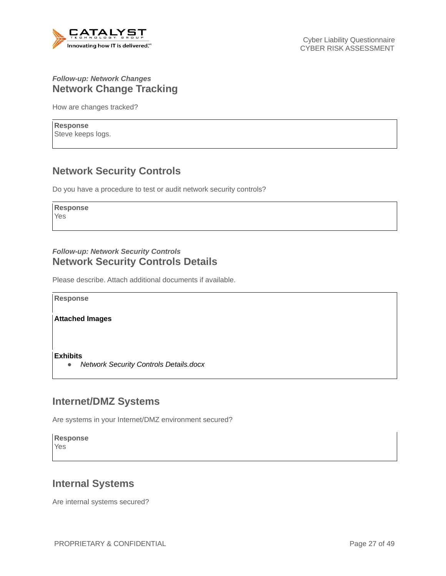

#### *Follow-up: Network Changes* **Network Change Tracking**

How are changes tracked?

**Response** Steve keeps logs.

### **Network Security Controls**

Do you have a procedure to test or audit network security controls?

**Response**

Yes

#### *Follow-up: Network Security Controls* **Network Security Controls Details**

Please describe. Attach additional documents if available.

**Response**

**Attached Images**

**Exhibits**

● *Network Security Controls Details.docx*

#### **Internet/DMZ Systems**

Are systems in your Internet/DMZ environment secured?

**Response** Yes

### **Internal Systems**

Are internal systems secured?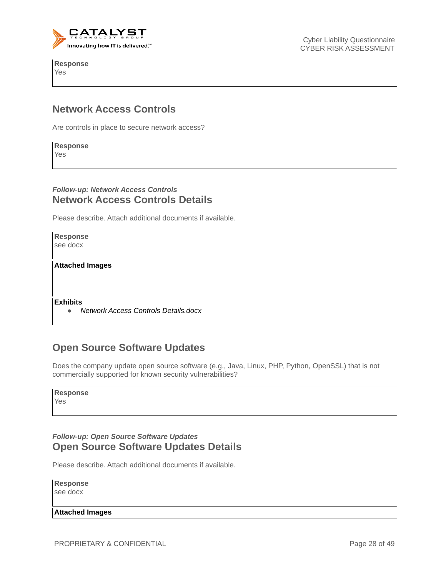

**Response** Yes

Cyber Liability Questionnaire CYBER RISK ASSESSMENT

#### **Network Access Controls**

Are controls in place to secure network access?

**Response** Yes

#### *Follow-up: Network Access Controls* **Network Access Controls Details**

Please describe. Attach additional documents if available.

**Response** see docx

**Attached Images**

**Exhibits**

● *Network Access Controls Details.docx*

### **Open Source Software Updates**

Does the company update open source software (e.g., Java, Linux, PHP, Python, OpenSSL) that is not commercially supported for known security vulnerabilities?

Yes

#### *Follow-up: Open Source Software Updates* **Open Source Software Updates Details**

Please describe. Attach additional documents if available.

**Response** see docx

**Attached Images**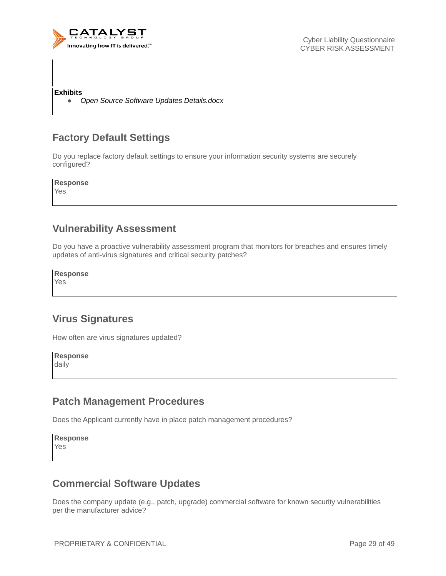

**Exhibits**

● *Open Source Software Updates Details.docx*

### **Factory Default Settings**

Do you replace factory default settings to ensure your information security systems are securely configured?

**Response**

Yes

#### **Vulnerability Assessment**

Do you have a proactive vulnerability assessment program that monitors for breaches and ensures timely updates of anti-virus signatures and critical security patches?

**Response**

Yes

### **Virus Signatures**

How often are virus signatures updated?

**Response** daily

#### **Patch Management Procedures**

Does the Applicant currently have in place patch management procedures?

**Response** Yes

### **Commercial Software Updates**

Does the company update (e.g., patch, upgrade) commercial software for known security vulnerabilities per the manufacturer advice?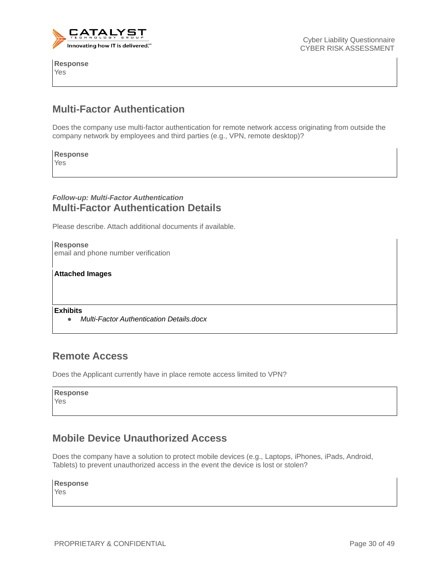

**Response** Yes

#### **Multi-Factor Authentication**

Does the company use multi-factor authentication for remote network access originating from outside the company network by employees and third parties (e.g., VPN, remote desktop)?

**Response** Yes

#### *Follow-up: Multi-Factor Authentication* **Multi-Factor Authentication Details**

Please describe. Attach additional documents if available.

**Response** email and phone number verification

**Attached Images**

**Exhibits**

● *Multi-Factor Authentication Details.docx*

#### **Remote Access**

Does the Applicant currently have in place remote access limited to VPN?

| <b>Response</b> |
|-----------------|
| Yes             |

#### **Mobile Device Unauthorized Access**

Does the company have a solution to protect mobile devices (e.g., Laptops, iPhones, iPads, Android, Tablets) to prevent unauthorized access in the event the device is lost or stolen?

**Response**

Yes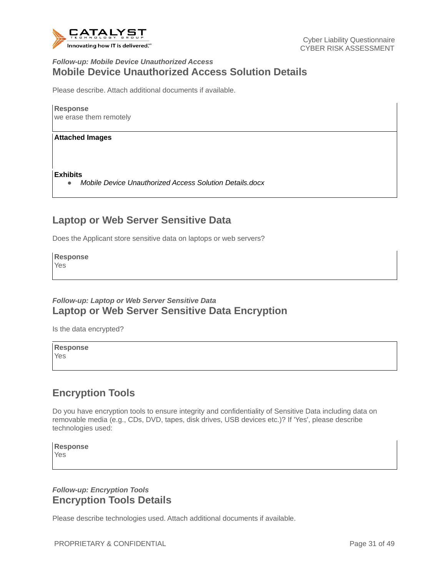

#### *Follow-up: Mobile Device Unauthorized Access* **Mobile Device Unauthorized Access Solution Details**

Please describe. Attach additional documents if available.

**Response** we erase them remotely

**Attached Images**

**Exhibits**

● *Mobile Device Unauthorized Access Solution Details.docx*

#### **Laptop or Web Server Sensitive Data**

Does the Applicant store sensitive data on laptops or web servers?

**Response**

Yes

#### *Follow-up: Laptop or Web Server Sensitive Data* **Laptop or Web Server Sensitive Data Encryption**

Is the data encrypted?

**Response** Yes

### **Encryption Tools**

Do you have encryption tools to ensure integrity and confidentiality of Sensitive Data including data on removable media (e.g., CDs, DVD, tapes, disk drives, USB devices etc.)? If 'Yes', please describe technologies used:

**Response** Yes

#### *Follow-up: Encryption Tools* **Encryption Tools Details**

Please describe technologies used. Attach additional documents if available.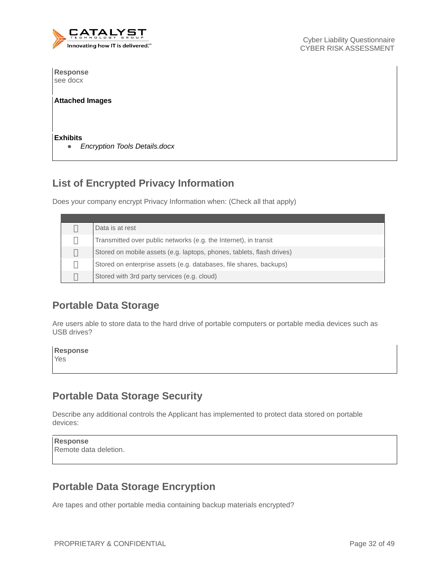

**Response** see docx

#### **Attached Images**

**Exhibits**

● *Encryption Tools Details.docx*

### **List of Encrypted Privacy Information**

Does your company encrypt Privacy Information when: (Check all that apply)

| Data is at rest                                                       |
|-----------------------------------------------------------------------|
| Transmitted over public networks (e.g. the Internet), in transit      |
| Stored on mobile assets (e.g. laptops, phones, tablets, flash drives) |
| Stored on enterprise assets (e.g. databases, file shares, backups)    |
| Stored with 3rd party services (e.g. cloud)                           |

#### **Portable Data Storage**

Are users able to store data to the hard drive of portable computers or portable media devices such as USB drives?

| Response |  |  |  |
|----------|--|--|--|
| Yes      |  |  |  |
|          |  |  |  |

#### **Portable Data Storage Security**

Describe any additional controls the Applicant has implemented to protect data stored on portable devices:

**Response** Remote data deletion.

### **Portable Data Storage Encryption**

Are tapes and other portable media containing backup materials encrypted?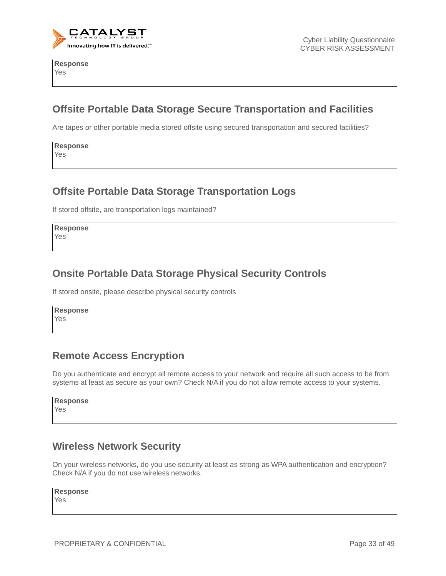

**Response** Yes

### **Offsite Portable Data Storage Secure Transportation and Facilities**

Are tapes or other portable media stored offsite using secured transportation and secured facilities?

**Response** Yes

#### **Offsite Portable Data Storage Transportation Logs**

If stored offsite, are transportation logs maintained?

**Response** Yes

### **Onsite Portable Data Storage Physical Security Controls**

If stored onsite, please describe physical security controls

**Response** Yes

#### **Remote Access Encryption**

Do you authenticate and encrypt all remote access to your network and require all such access to be from systems at least as secure as your own? Check N/A if you do not allow remote access to your systems.

|  |  |  | <b>Response</b> |  |  |
|--|--|--|-----------------|--|--|
|  |  |  |                 |  |  |

Yes

### **Wireless Network Security**

On your wireless networks, do you use security at least as strong as WPA authentication and encryption? Check N/A if you do not use wireless networks.

**Response**

Yes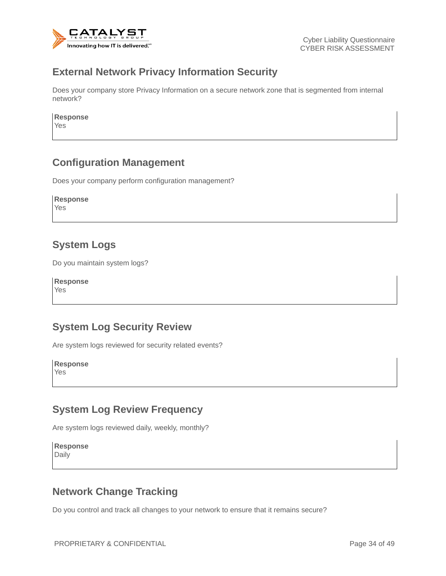

#### **External Network Privacy Information Security**

Does your company store Privacy Information on a secure network zone that is segmented from internal network?

**Response**

Yes

#### **Configuration Management**

Does your company perform configuration management?

**Response** Yes

#### **System Logs**

Do you maintain system logs?

**Response** Yes

#### **System Log Security Review**

Are system logs reviewed for security related events?

**Response** Yes

#### **System Log Review Frequency**

Are system logs reviewed daily, weekly, monthly?

**Response** Daily

### **Network Change Tracking**

Do you control and track all changes to your network to ensure that it remains secure?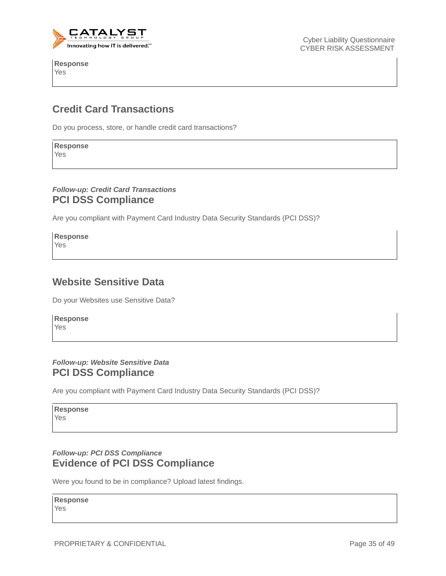

**Response** Yes

Cyber Liability Questionnaire CYBER RISK ASSESSMENT

### **Credit Card Transactions**

Do you process, store, or handle credit card transactions?

**Response** Yes

#### *Follow-up: Credit Card Transactions* **PCI DSS Compliance**

Are you compliant with Payment Card Industry Data Security Standards (PCI DSS)?

**Response** Yes

#### **Website Sensitive Data**

Do your Websites use Sensitive Data?

**Response** Yes

#### *Follow-up: Website Sensitive Data* **PCI DSS Compliance**

Are you compliant with Payment Card Industry Data Security Standards (PCI DSS)?

**Response** Yes

#### *Follow-up: PCI DSS Compliance* **Evidence of PCI DSS Compliance**

Were you found to be in compliance? Upload latest findings.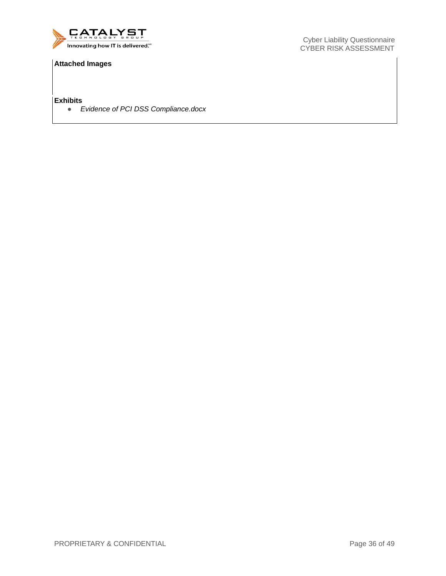

#### **Attached Images**

**Exhibits**

● *Evidence of PCI DSS Compliance.docx*

Cyber Liability Questionnaire CYBER RISK ASSESSMENT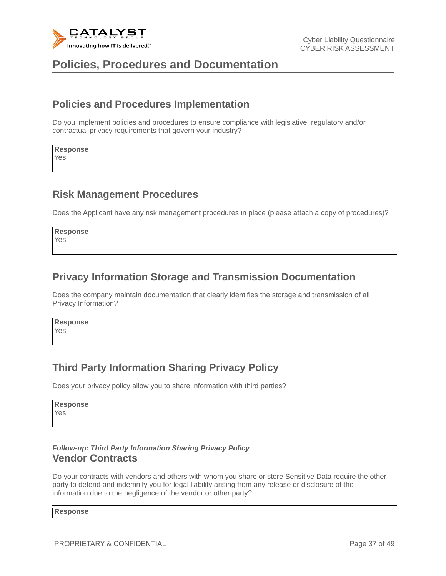

## **Policies, Procedures and Documentation**

#### **Policies and Procedures Implementation**

Do you implement policies and procedures to ensure compliance with legislative, regulatory and/or contractual privacy requirements that govern your industry?

## **Response**

Yes

#### **Risk Management Procedures**

Does the Applicant have any risk management procedures in place (please attach a copy of procedures)?

**Response** Yes

#### **Privacy Information Storage and Transmission Documentation**

Does the company maintain documentation that clearly identifies the storage and transmission of all Privacy Information?

**Response** Yes

### **Third Party Information Sharing Privacy Policy**

Does your privacy policy allow you to share information with third parties?

**Response** Yes

#### *Follow-up: Third Party Information Sharing Privacy Policy* **Vendor Contracts**

Do your contracts with vendors and others with whom you share or store Sensitive Data require the other party to defend and indemnify you for legal liability arising from any release or disclosure of the information due to the negligence of the vendor or other party?

#### **Response**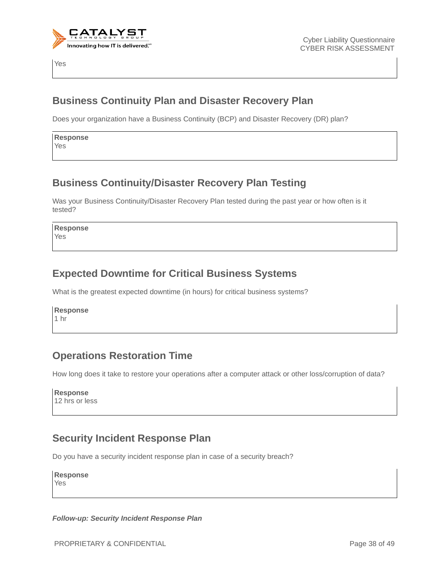

Yes

#### **Business Continuity Plan and Disaster Recovery Plan**

Does your organization have a Business Continuity (BCP) and Disaster Recovery (DR) plan?

**Response** Yes

### **Business Continuity/Disaster Recovery Plan Testing**

Was your Business Continuity/Disaster Recovery Plan tested during the past year or how often is it tested?

**Response** Yes

### **Expected Downtime for Critical Business Systems**

What is the greatest expected downtime (in hours) for critical business systems?

**Response** 1 hr

### **Operations Restoration Time**

How long does it take to restore your operations after a computer attack or other loss/corruption of data?

**Response** 12 hrs or less

### **Security Incident Response Plan**

Do you have a security incident response plan in case of a security breach?

**Response** Yes

*Follow-up: Security Incident Response Plan*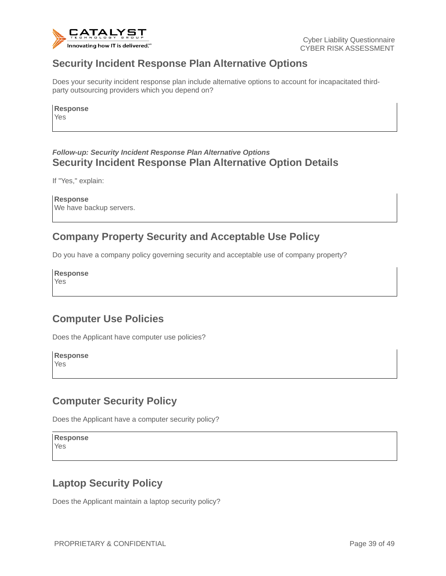

#### **Security Incident Response Plan Alternative Options**

Does your security incident response plan include alternative options to account for incapacitated thirdparty outsourcing providers which you depend on?

**Response** Yes

#### *Follow-up: Security Incident Response Plan Alternative Options* **Security Incident Response Plan Alternative Option Details**

If "Yes," explain:

**Response** We have backup servers.

### **Company Property Security and Acceptable Use Policy**

Do you have a company policy governing security and acceptable use of company property?

**Response**

Yes

### **Computer Use Policies**

Does the Applicant have computer use policies?

**Response** Yes

### **Computer Security Policy**

Does the Applicant have a computer security policy?

**Response** Yes

### **Laptop Security Policy**

Does the Applicant maintain a laptop security policy?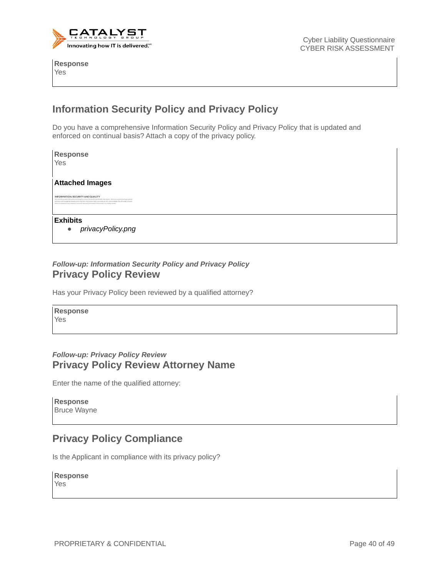

**Response** Yes

### **Information Security Policy and Privacy Policy**

Do you have a comprehensive Information Security Policy and Privacy Policy that is updated and enforced on continual basis? Attach a copy of the privacy policy.

| Response<br>Yes                                                                                                                                                                                                                                                                                                                                                                                        |
|--------------------------------------------------------------------------------------------------------------------------------------------------------------------------------------------------------------------------------------------------------------------------------------------------------------------------------------------------------------------------------------------------------|
| <b>Attached Images</b>                                                                                                                                                                                                                                                                                                                                                                                 |
| INFORMATION, SECURITY AND QUALITY<br>We intend to orotest the quality and integrity of your personally identifiable information. We have implemented appropriate<br>technical and managerial procedures to maintain information that is accurate, current, and complete. We will make a sincere<br>effort to respond to your requests to convert personal information inaccuracies in a timely manner. |
| Exhibits<br>privacyPolicy.png                                                                                                                                                                                                                                                                                                                                                                          |

#### *Follow-up: Information Security Policy and Privacy Policy* **Privacy Policy Review**

Has your Privacy Policy been reviewed by a qualified attorney?

**Response** Yes

#### *Follow-up: Privacy Policy Review* **Privacy Policy Review Attorney Name**

Enter the name of the qualified attorney:

**Response** Bruce Wayne

### **Privacy Policy Compliance**

Is the Applicant in compliance with its privacy policy?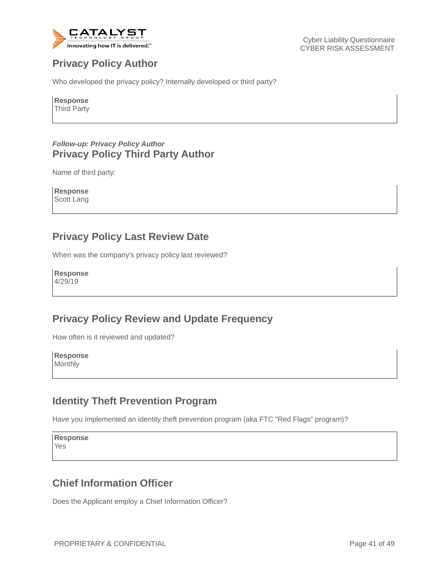

### **Privacy Policy Author**

Who developed the privacy policy? Internally developed or third party?

**Response**

Third Party

#### *Follow-up: Privacy Policy Author* **Privacy Policy Third Party Author**

Name of third party:

**Response** Scott Lang

### **Privacy Policy Last Review Date**

When was the company's privacy policy last reviewed?

**Response** 4/29/19

#### **Privacy Policy Review and Update Frequency**

How often is it reviewed and updated?

**Response** Monthly

### **Identity Theft Prevention Program**

Have you implemented an identity theft prevention program (aka FTC "Red Flags" program)?

**Response** Yes

### **Chief Information Officer**

Does the Applicant employ a Chief Information Officer?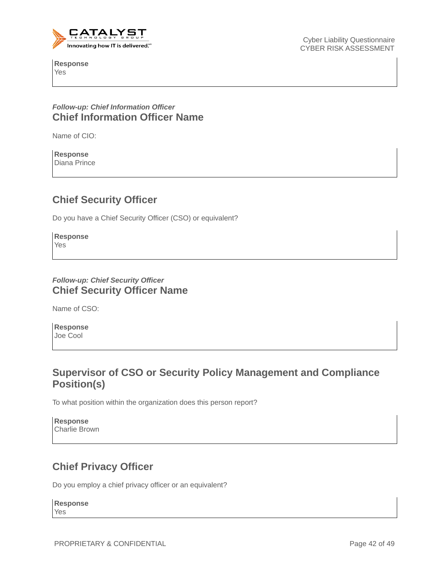

**Response** Yes

Cyber Liability Questionnaire CYBER RISK ASSESSMENT

#### *Follow-up: Chief Information Officer* **Chief Information Officer Name**

Name of CIO:

**Response** Diana Prince

### **Chief Security Officer**

Do you have a Chief Security Officer (CSO) or equivalent?

**Response** Yes

#### *Follow-up: Chief Security Officer* **Chief Security Officer Name**

Name of CSO:

**Response** Joe Cool

### **Supervisor of CSO or Security Policy Management and Compliance Position(s)**

To what position within the organization does this person report?

| <b>Response</b>      |  |
|----------------------|--|
| <b>Charlie Brown</b> |  |

### **Chief Privacy Officer**

Do you employ a chief privacy officer or an equivalent?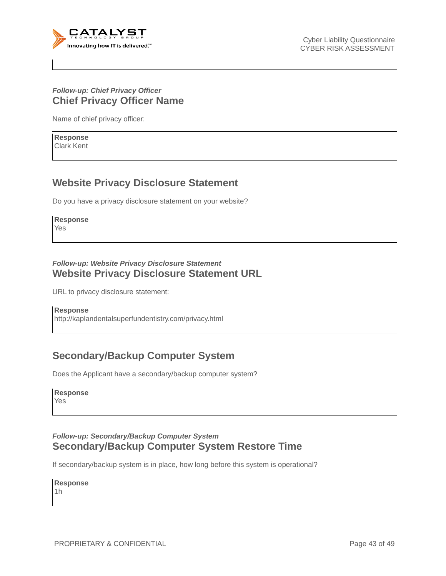

#### *Follow-up: Chief Privacy Officer* **Chief Privacy Officer Name**

Name of chief privacy officer:

**Response** Clark Kent

#### **Website Privacy Disclosure Statement**

Do you have a privacy disclosure statement on your website?

**Response** Yes

# *Follow-up: Website Privacy Disclosure Statement*

### **Website Privacy Disclosure Statement URL**

URL to privacy disclosure statement:

**Response** http://kaplandentalsuperfundentistry.com/privacy.html

### **Secondary/Backup Computer System**

Does the Applicant have a secondary/backup computer system?

| <b>Response</b> |
|-----------------|
| Yes             |

#### *Follow-up: Secondary/Backup Computer System* **Secondary/Backup Computer System Restore Time**

If secondary/backup system is in place, how long before this system is operational?

**Response**

1h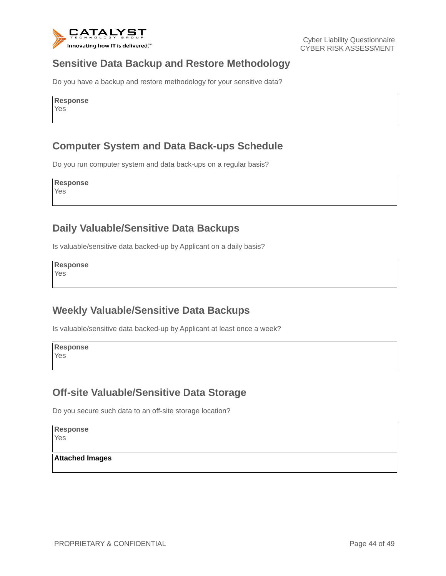

#### **Sensitive Data Backup and Restore Methodology**

Do you have a backup and restore methodology for your sensitive data?

| <b>Response</b> |
|-----------------|
| Yes             |

#### **Computer System and Data Back-ups Schedule**

Do you run computer system and data back-ups on a regular basis?

**Response** Yes

#### **Daily Valuable/Sensitive Data Backups**

Is valuable/sensitive data backed-up by Applicant on a daily basis?

**Response** Yes

#### **Weekly Valuable/Sensitive Data Backups**

Is valuable/sensitive data backed-up by Applicant at least once a week?

**Response** Yes

#### **Off-site Valuable/Sensitive Data Storage**

Do you secure such data to an off-site storage location?

**Response** Yes

**Attached Images**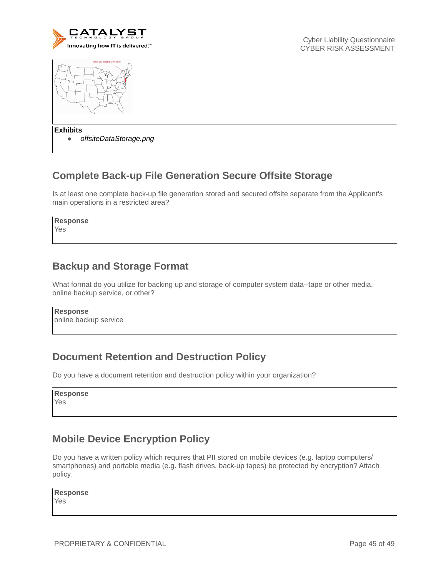

Cyber Liability Questionnaire CYBER RISK ASSESSMENT



**Exhibits**

● *offsiteDataStorage.png*

### **Complete Back-up File Generation Secure Offsite Storage**

Is at least one complete back-up file generation stored and secured offsite separate from the Applicant's main operations in a restricted area?

**Response**

Yes

### **Backup and Storage Format**

What format do you utilize for backing up and storage of computer system data--tape or other media, online backup service, or other?

**Response**

online backup service

### **Document Retention and Destruction Policy**

Do you have a document retention and destruction policy within your organization?

**Response** Yes

### **Mobile Device Encryption Policy**

Do you have a written policy which requires that PII stored on mobile devices (e.g. laptop computers/ smartphones) and portable media (e.g. flash drives, back-up tapes) be protected by encryption? Attach policy.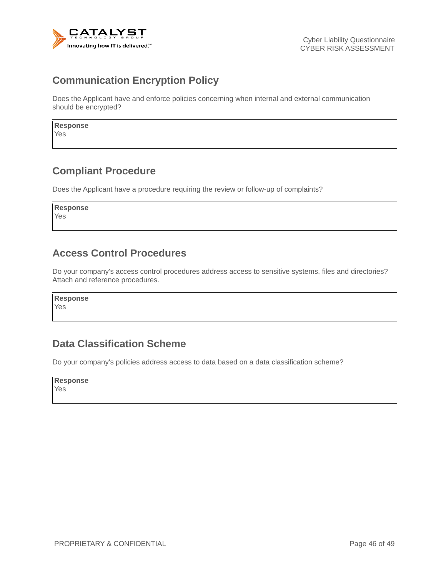

### **Communication Encryption Policy**

Does the Applicant have and enforce policies concerning when internal and external communication should be encrypted?

| <b>Response</b> |  |  |
|-----------------|--|--|
| $\sqrt{2}$      |  |  |

Yes

### **Compliant Procedure**

Does the Applicant have a procedure requiring the review or follow-up of complaints?

**Response** Yes

### **Access Control Procedures**

Do your company's access control procedures address access to sensitive systems, files and directories? Attach and reference procedures.

**Response** Yes

### **Data Classification Scheme**

Do your company's policies address access to data based on a data classification scheme?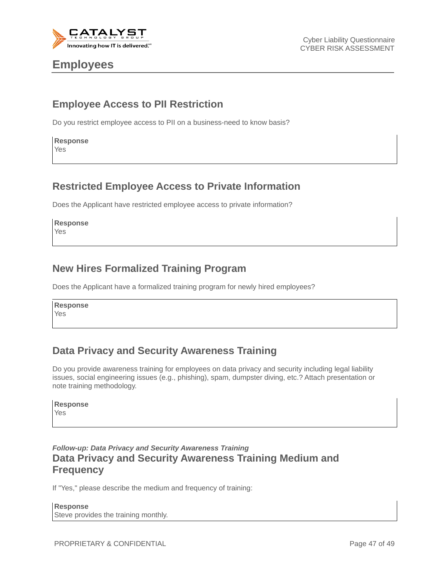

### **Employees**

### **Employee Access to PII Restriction**

Do you restrict employee access to PII on a business-need to know basis?

| <b>Response</b> |
|-----------------|
| Yes             |

#### **Restricted Employee Access to Private Information**

Does the Applicant have restricted employee access to private information?

**Response** Yes

#### **New Hires Formalized Training Program**

Does the Applicant have a formalized training program for newly hired employees?

**Response** Yes

### **Data Privacy and Security Awareness Training**

Do you provide awareness training for employees on data privacy and security including legal liability issues, social engineering issues (e.g., phishing), spam, dumpster diving, etc.? Attach presentation or note training methodology.

| <b>Response</b> |
|-----------------|
| Yes             |

#### *Follow-up: Data Privacy and Security Awareness Training* **Data Privacy and Security Awareness Training Medium and Frequency**

If "Yes," please describe the medium and frequency of training:

**Response** Steve provides the training monthly.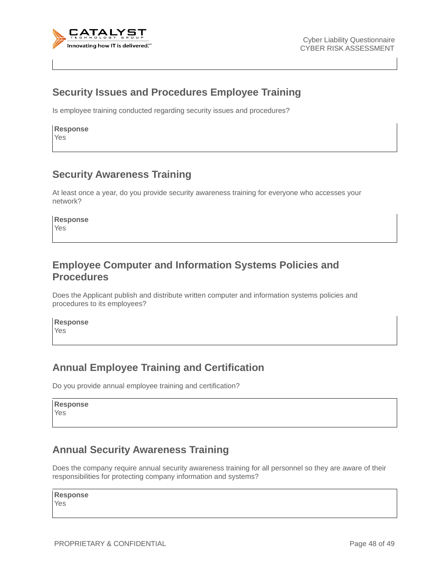

#### **Security Issues and Procedures Employee Training**

Is employee training conducted regarding security issues and procedures?

**Response** Yes

#### **Security Awareness Training**

At least once a year, do you provide security awareness training for everyone who accesses your network?

**Response**

Yes

#### **Employee Computer and Information Systems Policies and Procedures**

Does the Applicant publish and distribute written computer and information systems policies and procedures to its employees?

**Response** Yes

### **Annual Employee Training and Certification**

Do you provide annual employee training and certification?

**Response** Yes

#### **Annual Security Awareness Training**

Does the company require annual security awareness training for all personnel so they are aware of their responsibilities for protecting company information and systems?